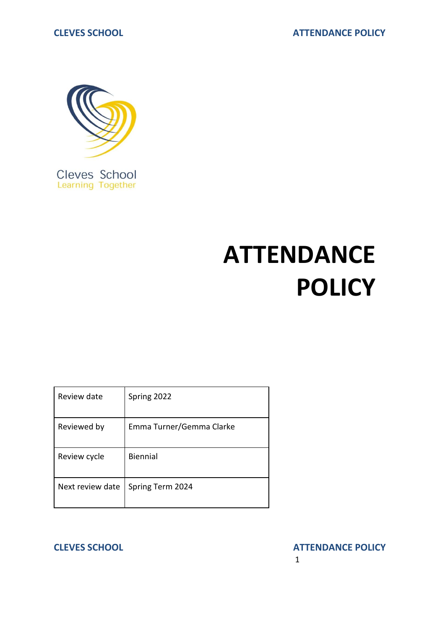

Cleves School<br>Learning Together

# **ATTENDANCE POLICY**

| Review date      | Spring 2022              |
|------------------|--------------------------|
| Reviewed by      | Emma Turner/Gemma Clarke |
| Review cycle     | Biennial                 |
| Next review date | Spring Term 2024         |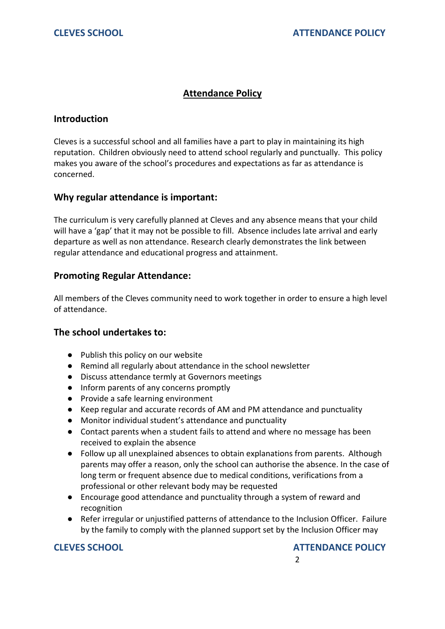# **Attendance Policy**

### **Introduction**

Cleves is a successful school and all families have a part to play in maintaining its high reputation. Children obviously need to attend school regularly and punctually. This policy makes you aware of the school's procedures and expectations as far as attendance is concerned.

### **Why regular attendance is important:**

The curriculum is very carefully planned at Cleves and any absence means that your child will have a 'gap' that it may not be possible to fill. Absence includes late arrival and early departure as well as non attendance. Research clearly demonstrates the link between regular attendance and educational progress and attainment.

### **Promoting Regular Attendance:**

All members of the Cleves community need to work together in order to ensure a high level of attendance.

### **The school undertakes to:**

- Publish this policy on our website
- Remind all regularly about attendance in the school newsletter
- Discuss attendance termly at Governors meetings
- Inform parents of any concerns promptly
- Provide a safe learning environment
- Keep regular and accurate records of AM and PM attendance and punctuality
- Monitor individual student's attendance and punctuality
- Contact parents when a student fails to attend and where no message has been received to explain the absence
- Follow up all unexplained absences to obtain explanations from parents. Although parents may offer a reason, only the school can authorise the absence. In the case of long term or frequent absence due to medical conditions, verifications from a professional or other relevant body may be requested
- Encourage good attendance and punctuality through a system of reward and recognition
- Refer irregular or unjustified patterns of attendance to the Inclusion Officer. Failure by the family to comply with the planned support set by the Inclusion Officer may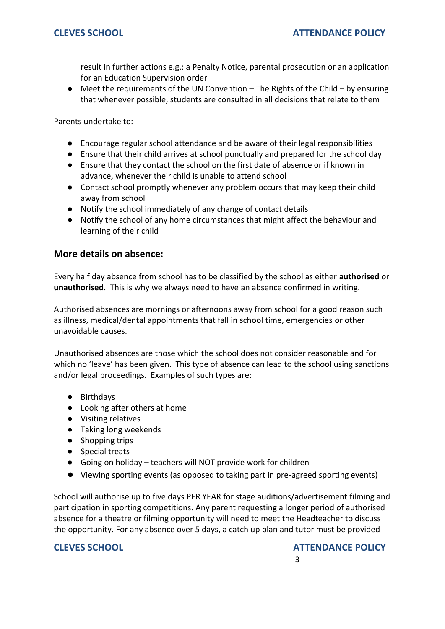result in further actions e.g.: a Penalty Notice, parental prosecution or an application for an Education Supervision order

 $\bullet$  Meet the requirements of the UN Convention – The Rights of the Child – by ensuring that whenever possible, students are consulted in all decisions that relate to them

Parents undertake to:

- Encourage regular school attendance and be aware of their legal responsibilities
- Ensure that their child arrives at school punctually and prepared for the school day
- Ensure that they contact the school on the first date of absence or if known in advance, whenever their child is unable to attend school
- Contact school promptly whenever any problem occurs that may keep their child away from school
- Notify the school immediately of any change of contact details
- Notify the school of any home circumstances that might affect the behaviour and learning of their child

### **More details on absence:**

Every half day absence from school has to be classified by the school as either **authorised** or **unauthorised**. This is why we always need to have an absence confirmed in writing.

Authorised absences are mornings or afternoons away from school for a good reason such as illness, medical/dental appointments that fall in school time, emergencies or other unavoidable causes.

Unauthorised absences are those which the school does not consider reasonable and for which no 'leave' has been given. This type of absence can lead to the school using sanctions and/or legal proceedings. Examples of such types are:

- Birthdays
- Looking after others at home
- Visiting relatives
- Taking long weekends
- Shopping trips
- Special treats
- Going on holiday teachers will NOT provide work for children
- Viewing sporting events (as opposed to taking part in pre-agreed sporting events)

School will authorise up to five days PER YEAR for stage auditions/advertisement filming and participation in sporting competitions. Any parent requesting a longer period of authorised absence for a theatre or filming opportunity will need to meet the Headteacher to discuss the opportunity. For any absence over 5 days, a catch up plan and tutor must be provided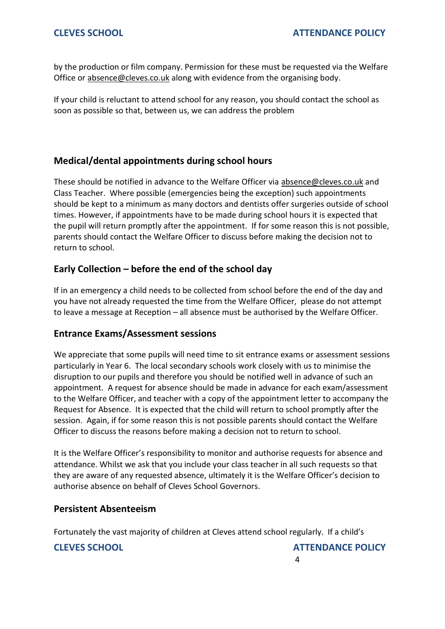by the production or film company. Permission for these must be requested via the Welfare Office or [absence@cleves.co.uk](mailto:absence@cleves.co.uk) along with evidence from the organising body.

If your child is reluctant to attend school for any reason, you should contact the school as soon as possible so that, between us, we can address the problem

# **Medical/dental appointments during school hours**

These should be notified in advance to the Welfare Officer via [absence@cleves.co.uk](mailto:absence@cleves.co.uk) and Class Teacher. Where possible (emergencies being the exception) such appointments should be kept to a minimum as many doctors and dentists offer surgeries outside of school times. However, if appointments have to be made during school hours it is expected that the pupil will return promptly after the appointment. If for some reason this is not possible, parents should contact the Welfare Officer to discuss before making the decision not to return to school.

# **Early Collection – before the end of the school day**

If in an emergency a child needs to be collected from school before the end of the day and you have not already requested the time from the Welfare Officer, please do not attempt to leave a message at Reception – all absence must be authorised by the Welfare Officer.

# **Entrance Exams/Assessment sessions**

We appreciate that some pupils will need time to sit entrance exams or assessment sessions particularly in Year 6. The local secondary schools work closely with us to minimise the disruption to our pupils and therefore you should be notified well in advance of such an appointment. A request for absence should be made in advance for each exam/assessment to the Welfare Officer, and teacher with a copy of the appointment letter to accompany the Request for Absence. It is expected that the child will return to school promptly after the session. Again, if for some reason this is not possible parents should contact the Welfare Officer to discuss the reasons before making a decision not to return to school.

It is the Welfare Officer's responsibility to monitor and authorise requests for absence and attendance. Whilst we ask that you include your class teacher in all such requests so that they are aware of any requested absence, ultimately it is the Welfare Officer's decision to authorise absence on behalf of Cleves School Governors.

# **Persistent Absenteeism**

Fortunately the vast majority of children at Cleves attend school regularly. If a child's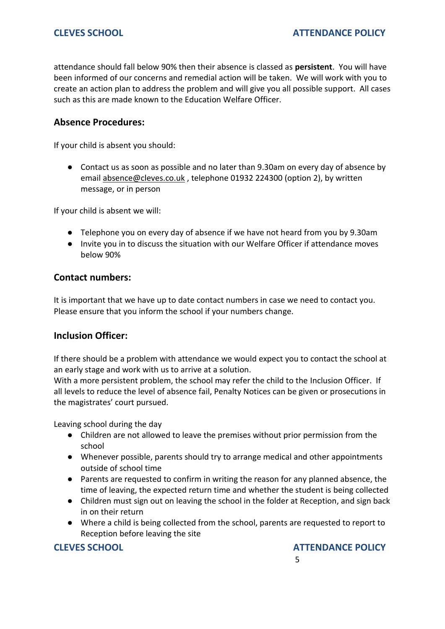attendance should fall below 90% then their absence is classed as **persistent**. You will have been informed of our concerns and remedial action will be taken. We will work with you to create an action plan to address the problem and will give you all possible support. All cases such as this are made known to the Education Welfare Officer.

## **Absence Procedures:**

If your child is absent you should:

● Contact us as soon as possible and no later than 9.30am on every day of absence by email [absence@cleves.co.uk](mailto:absence@cleves.co.uk) , telephone 01932 224300 (option 2), by written message, or in person

If your child is absent we will:

- Telephone you on every day of absence if we have not heard from you by 9.30am
- Invite you in to discuss the situation with our Welfare Officer if attendance moves below 90%

### **Contact numbers:**

It is important that we have up to date contact numbers in case we need to contact you. Please ensure that you inform the school if your numbers change.

### **Inclusion Officer:**

If there should be a problem with attendance we would expect you to contact the school at an early stage and work with us to arrive at a solution.

With a more persistent problem, the school may refer the child to the Inclusion Officer. If all levels to reduce the level of absence fail, Penalty Notices can be given or prosecutions in the magistrates' court pursued.

Leaving school during the day

- Children are not allowed to leave the premises without prior permission from the school
- Whenever possible, parents should try to arrange medical and other appointments outside of school time
- Parents are requested to confirm in writing the reason for any planned absence, the time of leaving, the expected return time and whether the student is being collected
- Children must sign out on leaving the school in the folder at Reception, and sign back in on their return
- Where a child is being collected from the school, parents are requested to report to Reception before leaving the site

**CLEVES SCHOOL ATTENDANCE POLICY** the contract of the contract of the contract of the contract of the contract of the contract of the contract o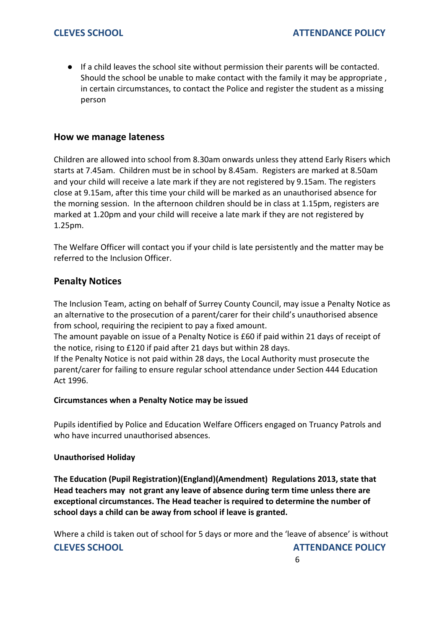● If a child leaves the school site without permission their parents will be contacted. Should the school be unable to make contact with the family it may be appropriate , in certain circumstances, to contact the Police and register the student as a missing person

### **How we manage lateness**

Children are allowed into school from 8.30am onwards unless they attend Early Risers which starts at 7.45am. Children must be in school by 8.45am. Registers are marked at 8.50am and your child will receive a late mark if they are not registered by 9.15am. The registers close at 9.15am, after this time your child will be marked as an unauthorised absence for the morning session. In the afternoon children should be in class at 1.15pm, registers are marked at 1.20pm and your child will receive a late mark if they are not registered by 1.25pm.

The Welfare Officer will contact you if your child is late persistently and the matter may be referred to the Inclusion Officer.

### **Penalty Notices**

The Inclusion Team, acting on behalf of Surrey County Council, may issue a Penalty Notice as an alternative to the prosecution of a parent/carer for their child's unauthorised absence from school, requiring the recipient to pay a fixed amount.

The amount payable on issue of a Penalty Notice is £60 if paid within 21 days of receipt of the notice, rising to £120 if paid after 21 days but within 28 days.

If the Penalty Notice is not paid within 28 days, the Local Authority must prosecute the parent/carer for failing to ensure regular school attendance under Section 444 Education Act 1996.

#### **Circumstances when a Penalty Notice may be issued**

Pupils identified by Police and Education Welfare Officers engaged on Truancy Patrols and who have incurred unauthorised absences.

#### **Unauthorised Holiday**

**The Education (Pupil Registration)(England)(Amendment) Regulations 2013, state that Head teachers may not grant any leave of absence during term time unless there are exceptional circumstances. The Head teacher is required to determine the number of school days a child can be away from school if leave is granted.**

**CLEVES SCHOOL ATTENDANCE POLICY** Where a child is taken out of school for 5 days or more and the 'leave of absence' is without

 $\sim$  6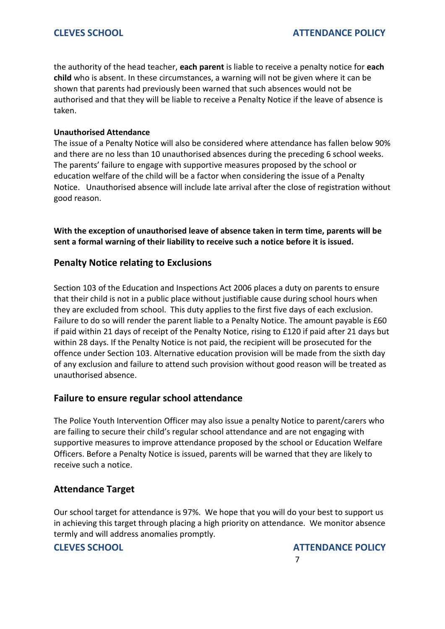the authority of the head teacher, **each parent** is liable to receive a penalty notice for **each child** who is absent. In these circumstances, a warning will not be given where it can be shown that parents had previously been warned that such absences would not be authorised and that they will be liable to receive a Penalty Notice if the leave of absence is taken.

### **Unauthorised Attendance**

The issue of a Penalty Notice will also be considered where attendance has fallen below 90% and there are no less than 10 unauthorised absences during the preceding 6 school weeks. The parents' failure to engage with supportive measures proposed by the school or education welfare of the child will be a factor when considering the issue of a Penalty Notice. Unauthorised absence will include late arrival after the close of registration without good reason.

**With the exception of unauthorised leave of absence taken in term time, parents will be sent a formal warning of their liability to receive such a notice before it is issued.**

# **Penalty Notice relating to Exclusions**

Section 103 of the Education and Inspections Act 2006 places a duty on parents to ensure that their child is not in a public place without justifiable cause during school hours when they are excluded from school. This duty applies to the first five days of each exclusion. Failure to do so will render the parent liable to a Penalty Notice. The amount payable is £60 if paid within 21 days of receipt of the Penalty Notice, rising to £120 if paid after 21 days but within 28 days. If the Penalty Notice is not paid, the recipient will be prosecuted for the offence under Section 103. Alternative education provision will be made from the sixth day of any exclusion and failure to attend such provision without good reason will be treated as unauthorised absence.

# **Failure to ensure regular school attendance**

The Police Youth Intervention Officer may also issue a penalty Notice to parent/carers who are failing to secure their child's regular school attendance and are not engaging with supportive measures to improve attendance proposed by the school or Education Welfare Officers. Before a Penalty Notice is issued, parents will be warned that they are likely to receive such a notice.

# **Attendance Target**

Our school target for attendance is 97%. We hope that you will do your best to support us in achieving this target through placing a high priority on attendance. We monitor absence termly and will address anomalies promptly.